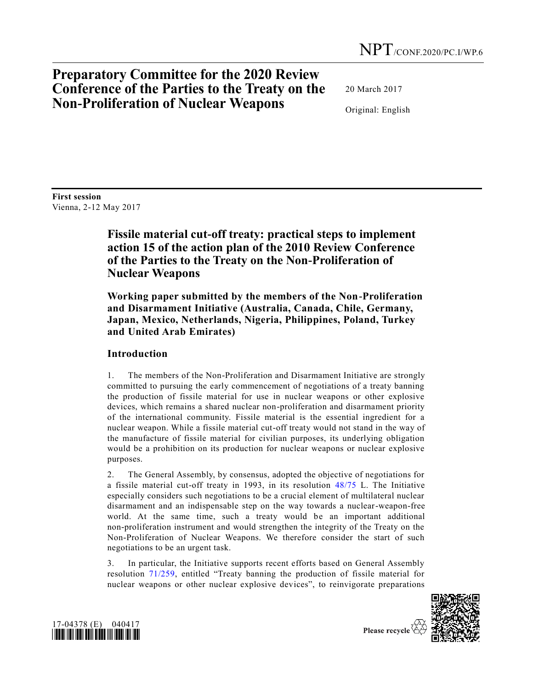# **Preparatory Committee for the 2020 Review Conference of the Parties to the Treaty on the Non-Proliferation of Nuclear Weapons**

20 March 2017

Original: English

**First session**  Vienna, 2-12 May 2017

# **Fissile material cut-off treaty: practical steps to implement action 15 of the action plan of the 2010 Review Conference of the Parties to the Treaty on the Non-Proliferation of Nuclear Weapons**

**Working paper submitted by the members of the Non-Proliferation and Disarmament Initiative (Australia, Canada, Chile, Germany, Japan, Mexico, Netherlands, Nigeria, Philippines, Poland, Turkey and United Arab Emirates)**

## **Introduction**

1. The members of the Non-Proliferation and Disarmament Initiative are strongly committed to pursuing the early commencement of negotiations of a treaty banning the production of fissile material for use in nuclear weapons or other explosive devices, which remains a shared nuclear non-proliferation and disarmament priority of the international community. Fissile material is the essential ingredient for a nuclear weapon. While a fissile material cut-off treaty would not stand in the way of the manufacture of fissile material for civilian purposes, its underlying obligation would be a prohibition on its production for nuclear weapons or nuclear explosive purposes.

2. The General Assembly, by consensus, adopted the objective of negotiations for a fissile material cut-off treaty in 1993, in its resolution [48/75](http://undocs.org/A/RES/48/75) L. The Initiative especially considers such negotiations to be a crucial element of multilateral nuclear disarmament and an indispensable step on the way towards a nuclear-weapon-free world. At the same time, such a treaty would be an important additional non-proliferation instrument and would strengthen the integrity of the Treaty on the Non-Proliferation of Nuclear Weapons. We therefore consider the start of such negotiations to be an urgent task.

3. In particular, the Initiative supports recent efforts based on General Assembly resolution [71/259,](http://undocs.org/A/RES/71/259) entitled "Treaty banning the production of fissile material for nuclear weapons or other nuclear explosive devices", to reinvigorate preparations





Please recycle  $\overline{\mathcal{C}}$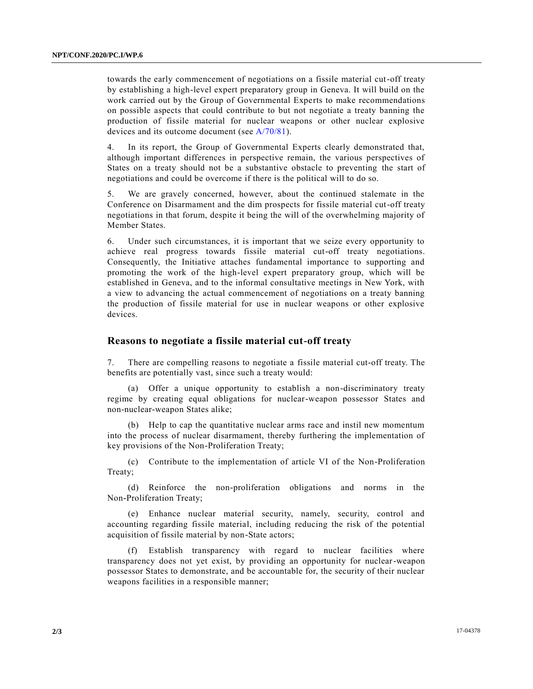towards the early commencement of negotiations on a fissile material cut-off treaty by establishing a high-level expert preparatory group in Geneva. It will build on the work carried out by the Group of Governmental Experts to make recommendations on possible aspects that could contribute to but not negotiate a treaty banning the production of fissile material for nuclear weapons or other nuclear explosive devices and its outcome document (see [A/70/81\)](http://undocs.org/A/70/81).

4. In its report, the Group of Governmental Experts clearly demonstrated that, although important differences in perspective remain, the various perspectives of States on a treaty should not be a substantive obstacle to preventing the start of negotiations and could be overcome if there is the political will to do so.

5. We are gravely concerned, however, about the continued stalemate in the Conference on Disarmament and the dim prospects for fissile material cut-off treaty negotiations in that forum, despite it being the will of the overwhelming majority of Member States.

6. Under such circumstances, it is important that we seize every opportunity to achieve real progress towards fissile material cut-off treaty negotiations. Consequently, the Initiative attaches fundamental importance to supporting and promoting the work of the high-level expert preparatory group, which will be established in Geneva, and to the informal consultative meetings in New York, with a view to advancing the actual commencement of negotiations on a treaty banning the production of fissile material for use in nuclear weapons or other explosive devices.

### **Reasons to negotiate a fissile material cut-off treaty**

7. There are compelling reasons to negotiate a fissile material cut-off treaty. The benefits are potentially vast, since such a treaty would:

(a) Offer a unique opportunity to establish a non-discriminatory treaty regime by creating equal obligations for nuclear-weapon possessor States and non-nuclear-weapon States alike;

(b) Help to cap the quantitative nuclear arms race and instil new momentum into the process of nuclear disarmament, thereby furthering the implementation of key provisions of the Non-Proliferation Treaty;

(c) Contribute to the implementation of article VI of the Non-Proliferation Treaty;

(d) Reinforce the non-proliferation obligations and norms in the Non-Proliferation Treaty;

(e) Enhance nuclear material security, namely, security, control and accounting regarding fissile material, including reducing the risk of the potential acquisition of fissile material by non-State actors;

(f) Establish transparency with regard to nuclear facilities where transparency does not yet exist, by providing an opportunity for nuclear-weapon possessor States to demonstrate, and be accountable for, the security of their nuclear weapons facilities in a responsible manner;